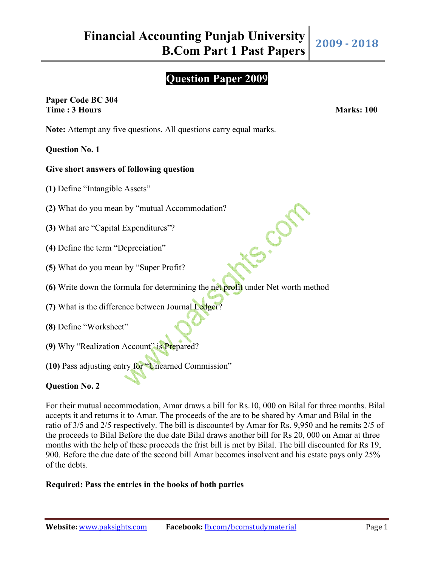# **Question Paper 2009**

is.com

# **Paper Code BC 304 Time : 3 Hours Marks: 100**

**Note:** Attempt any five questions. All questions carry equal marks.

# **Question No. 1**

# **Give short answers of following question**

- **(1)** Define "Intangible Assets"
- **(2)** What do you mean by "mutual Accommodation?
- **(3)** What are "Capital Expenditures"?
- **(4)** Define the term "Depreciation"
- **(5)** What do you mean by "Super Profit?
- **(6)** Write down the formula for determining the net profit under Net worth method
- **(7)** What is the difference between Journal Ledger?
- **(8)** Define "Worksheet"
- **(9)** Why "Realization Account" is Prepared?
- **(10)** Pass adjusting entry for "Unearned Commission"

# **Question No. 2**

For their mutual accommodation, Amar draws a bill for Rs.10, 000 on Bilal for three months. Bilal accepts it and returns it to Amar. The proceeds of the are to be shared by Amar and Bilal in the ratio of 3/5 and 2/5 respectively. The bill is discounte4 by Amar for Rs. 9,950 and he remits 2/5 of the proceeds to Bilal Before the due date Bilal draws another bill for Rs 20, 000 on Amar at three months with the help of these proceeds the frist bill is met by Bilal. The bill discounted for Rs 19, 900. Before the due date of the second bill Amar becomes insolvent and his estate pays only 25% of the debts.

#### **Required: Pass the entries in the books of both parties**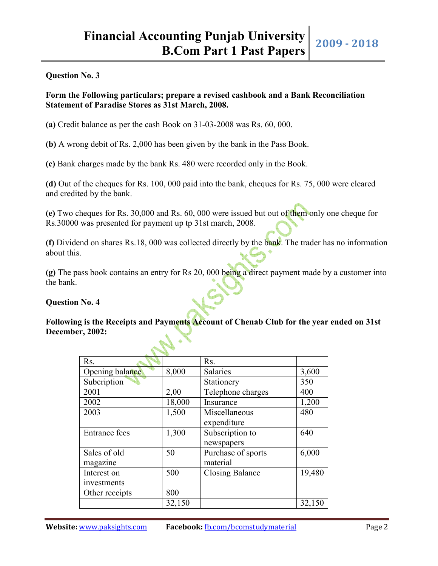#### **Question No. 3**

## **Form the Following particulars; prepare a revised cashbook and a Bank Reconciliation Statement of Paradise Stores as 31st March, 2008.**

**(a)** Credit balance as per the cash Book on 31-03-2008 was Rs. 60, 000.

**(b)** A wrong debit of Rs. 2,000 has been given by the bank in the Pass Book.

**(c)** Bank charges made by the bank Rs. 480 were recorded only in the Book.

**(d)** Out of the cheques for Rs. 100, 000 paid into the bank, cheques for Rs. 75, 000 were cleared and credited by the bank.

**(e)** Two cheques for Rs. 30,000 and Rs. 60, 000 were issued but out of them only one cheque for Rs.30000 was presented for payment up tp 31st march, 2008.

**(f)** Dividend on shares Rs.18, 000 was collected directly by the bank. The trader has no information about this.

**(g)** The pass book contains an entry for Rs 20, 000 being a direct payment made by a customer into the bank.

#### **Question No. 4**

## **Following is the Receipts and Payments Account of Chenab Club for the year ended on 31st December, 2002:**

| Rs.                  |        | Rs.                    |        |
|----------------------|--------|------------------------|--------|
| Opening balance      | 8,000  | <b>Salaries</b>        | 3,600  |
| Subcription          |        | Stationery             | 350    |
| 2001                 | 2,00   | Telephone charges      | 400    |
| 2002                 | 18,000 | Insurance              | 1,200  |
| 2003                 | 1,500  | Miscellaneous          | 480    |
|                      |        | expenditure            |        |
| <b>Entrance fees</b> | 1,300  | Subscription to        | 640    |
|                      |        | newspapers             |        |
| Sales of old         | 50     | Purchase of sports     | 6,000  |
| magazine             |        | material               |        |
| Interest on          | 500    | <b>Closing Balance</b> | 19,480 |
| investments          |        |                        |        |
| Other receipts       | 800    |                        |        |
|                      | 32,150 |                        | 32,150 |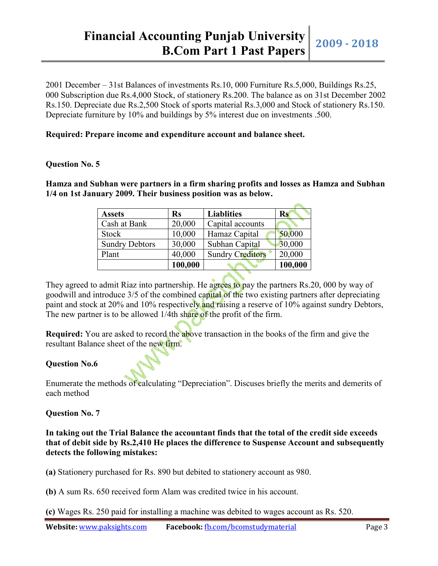2001 December – 31st Balances of investments Rs.10, 000 Furniture Rs.5,000, Buildings Rs.25, 000 Subscription due Rs.4,000 Stock, of stationery Rs.200. The balance as on 31st December 2002 Rs.150. Depreciate due Rs.2,500 Stock of sports material Rs.3,000 and Stock of stationery Rs.150. Depreciate furniture by 10% and buildings by 5% interest due on investments .500.

## **Required: Prepare income and expenditure account and balance sheet.**

## **Question No. 5**

**Hamza and Subhan were partners in a firm sharing profits and losses as Hamza and Subhan 1/4 on 1st January 2009. Their business position was as below.**

| <b>Assets</b>         | <b>Rs</b> | <b>Liablities</b>       | Rs      |
|-----------------------|-----------|-------------------------|---------|
| Cash at Bank          | 20,000    | Capital accounts        |         |
| Stock                 | 10,000    | Hamaz Capital           | 50,000  |
| <b>Sundry Debtors</b> | 30,000    | Subhan Capital          | 30,000  |
| Plant                 | 40,000    | <b>Sundry Creditors</b> | 20,000  |
|                       | 100,000   |                         | 100,000 |

They agreed to admit Riaz into partnership. He agrees to pay the partners Rs. 20, 000 by way of goodwill and introduce 3/5 of the combined capital of the two existing partners after depreciating paint and stock at 20% and 10% respectively and raising a reserve of 10% against sundry Debtors, The new partner is to be allowed 1/4th share of the profit of the firm.

**Required:** You are asked to record the above transaction in the books of the firm and give the resultant Balance sheet of the new firm.

# **Question No.6**

Enumerate the methods of calculating "Depreciation". Discuses briefly the merits and demerits of each method

# **Question No. 7**

**In taking out the Trial Balance the accountant finds that the total of the credit side exceeds that of debit side by Rs.2,410 He places the difference to Suspense Account and subsequently detects the following mistakes:**

**(a)** Stationery purchased for Rs. 890 but debited to stationery account as 980.

**(b)** A sum Rs. 650 received form Alam was credited twice in his account.

**(c)** Wages Rs. 250 paid for installing a machine was debited to wages account as Rs. 520.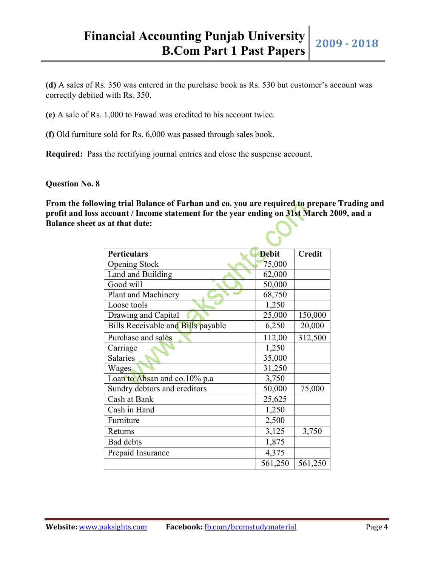**(d)** A sales of Rs. 350 was entered in the purchase book as Rs. 530 but customer's account was correctly debited with Rs. 350.

**(e)** A sale of Rs. 1,000 to Fawad was credited to his account twice.

**(f)** Old furniture sold for Rs. 6,000 was passed through sales book.

**Required:** Pass the rectifying journal entries and close the suspense account.

#### **Question No. 8**

**From the following trial Balance of Farhan and co. you are required to prepare Trading and profit and loss account / Income statement for the year ending on 31st March 2009, and a Balance sheet as at that date:**

| <b>Perticulars</b>                 | <b>Debit</b> | <b>Credit</b> |
|------------------------------------|--------------|---------------|
| <b>Opening Stock</b>               | 75,000       |               |
| Land and Building                  | 62,000       |               |
| Good will                          | 50,000       |               |
| Plant and Machinery                | 68,750       |               |
| Loose tools                        | 1,250        |               |
| Drawing and Capital                | 25,000       | 150,000       |
| Bills Receivable and Bills payable | 6,250        | 20,000        |
| Purchase and sales                 | 112,00       | 312,500       |
| Carriage                           | 1,250        |               |
| <b>Salaries</b>                    | 35,000       |               |
| Wages                              | 31,250       |               |
| Loan to Ahsan and co.10% p.a       | 3,750        |               |
| Sundry debtors and creditors       | 50,000       | 75,000        |
| Cash at Bank                       | 25,625       |               |
| Cash in Hand                       | 1,250        |               |
| Furniture                          | 2,500        |               |
| Returns                            | 3,125        | 3,750         |
| <b>Bad debts</b>                   | 1,875        |               |
| Prepaid Insurance                  | 4,375        |               |
|                                    | 561,250      | 561,250       |